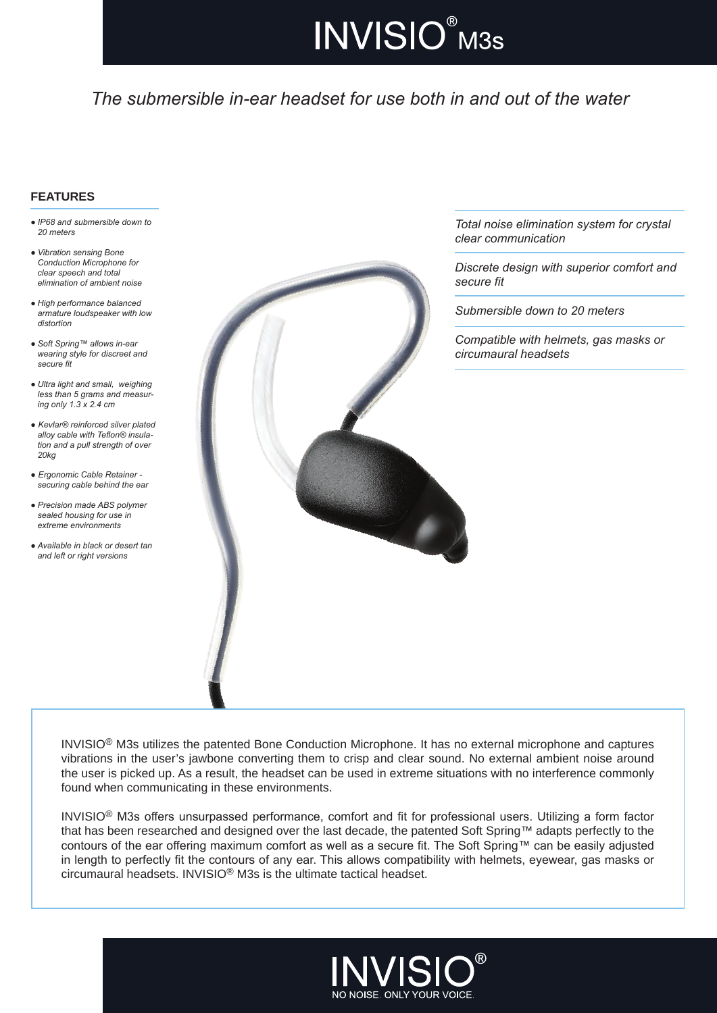# **INVISIO®** M3s

# *The submersible in-ear headset for use both in and out of the water*

#### **FEATURES**

- *● IP68 and submersible down to 20 meters*
- *● Vibration sensing Bone Conduction Microphone for clear speech and total elimination of ambient noise*
- *● High performance balanced armature loudspeaker with low distortion*
- *● Soft Spring™ allows in-ear wearing style for discreet and secure fit*
- *● Ultra light and small, weighing less than 5 grams and measur- ing only 1.3 x 2.4 cm*
- *● Kevlar® reinforced silver plated alloy cable with Teflon® insula- tion and a pull strength of over 20kg*
- *● Ergonomic Cable Retainer - securing cable behind the ear*
- *● Precision made ABS polymer sealed housing for use in extreme environments*
- *● Available in black or desert tan and left or right versions*



*Total noise elimination system for crystal clear communication*

*Discrete design with superior comfort and secure fit*

*Submersible down to 20 meters*

*Compatible with helmets, gas masks or circumaural headsets*

INVISIO® M3s utilizes the patented Bone Conduction Microphone. It has no external microphone and captures vibrations in the user's jawbone converting them to crisp and clear sound. No external ambient noise around the user is picked up. As a result, the headset can be used in extreme situations with no interference commonly found when communicating in these environments.

INVISIO® M3s offers unsurpassed performance, comfort and fit for professional users. Utilizing a form factor that has been researched and designed over the last decade, the patented Soft Spring™ adapts perfectly to the contours of the ear offering maximum comfort as well as a secure fit. The Soft Spring™ can be easily adjusted in length to perfectly fit the contours of any ear. This allows compatibility with helmets, eyewear, gas masks or circumaural headsets. INVISIO® M3s is the ultimate tactical headset.